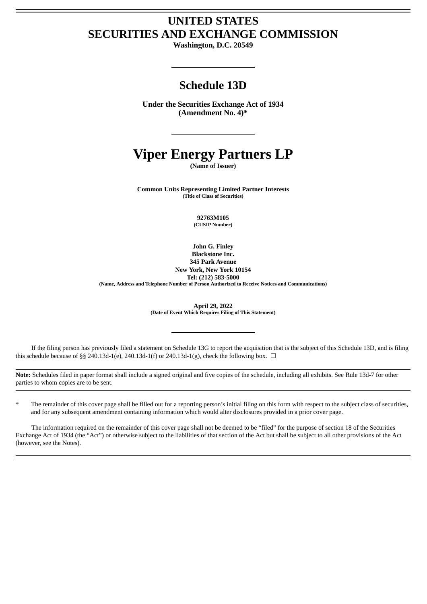# **UNITED STATES SECURITIES AND EXCHANGE COMMISSION**

**Washington, D.C. 20549**

# **Schedule 13D**

**Under the Securities Exchange Act of 1934 (Amendment No. 4)\***

# **Viper Energy Partners LP**

**(Name of Issuer)**

**Common Units Representing Limited Partner Interests (Title of Class of Securities)**

> **92763M105 (CUSIP Number)**

**John G. Finley Blackstone Inc. 345 Park Avenue New York, New York 10154 Tel: (212) 583-5000 (Name, Address and Telephone Number of Person Authorized to Receive Notices and Communications)**

**April 29, 2022**

**(Date of Event Which Requires Filing of This Statement)**

If the filing person has previously filed a statement on Schedule 13G to report the acquisition that is the subject of this Schedule 13D, and is filing this schedule because of §§ 240.13d-1(e), 240.13d-1(f) or 240.13d-1(g), check the following box.  $\Box$ 

**Note:** Schedules filed in paper format shall include a signed original and five copies of the schedule, including all exhibits. See Rule 13d-7 for other parties to whom copies are to be sent.

The remainder of this cover page shall be filled out for a reporting person's initial filing on this form with respect to the subject class of securities, and for any subsequent amendment containing information which would alter disclosures provided in a prior cover page.

The information required on the remainder of this cover page shall not be deemed to be "filed" for the purpose of section 18 of the Securities Exchange Act of 1934 (the "Act") or otherwise subject to the liabilities of that section of the Act but shall be subject to all other provisions of the Act (however, see the Notes).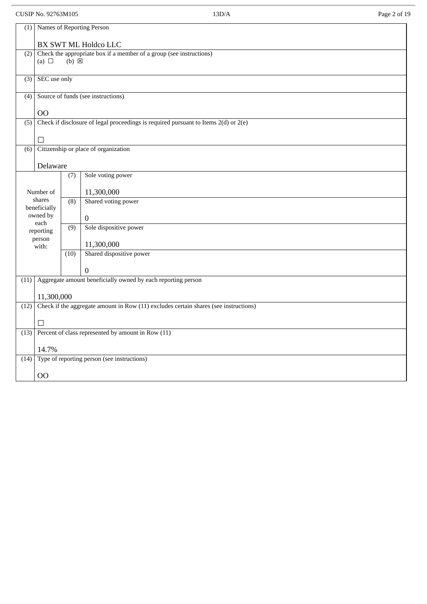# CUSIP No. 92763M105 13D/A Page 2 of 19

| ×<br>۰. |  |
|---------|--|
|         |  |

| (1)              | Names of Reporting Person                                                            |                  |                                                                                         |  |  |
|------------------|--------------------------------------------------------------------------------------|------------------|-----------------------------------------------------------------------------------------|--|--|
|                  | BX SWT ML Holdco LLC                                                                 |                  |                                                                                         |  |  |
| (2)              | (a) $\Box$                                                                           | (b) <b>区</b>     | Check the appropriate box if a member of a group (see instructions)                     |  |  |
| (3)              | SEC use only                                                                         |                  |                                                                                         |  |  |
| (4)              |                                                                                      |                  | Source of funds (see instructions)                                                      |  |  |
|                  | O <sub>O</sub>                                                                       |                  |                                                                                         |  |  |
| $\overline{(5)}$ |                                                                                      |                  | Check if disclosure of legal proceedings is required pursuant to Items $2(d)$ or $2(e)$ |  |  |
|                  | □                                                                                    |                  |                                                                                         |  |  |
| (6)              |                                                                                      |                  | Citizenship or place of organization                                                    |  |  |
|                  | Delaware                                                                             |                  |                                                                                         |  |  |
|                  |                                                                                      | (7)              | Sole voting power                                                                       |  |  |
|                  | Number of                                                                            |                  | 11,300,000                                                                              |  |  |
|                  | shares<br>beneficially                                                               | (8)              | Shared voting power                                                                     |  |  |
|                  | owned by                                                                             |                  | $\mathbf 0$                                                                             |  |  |
|                  | each<br>reporting                                                                    | $\overline{(9)}$ | Sole dispositive power                                                                  |  |  |
|                  | person<br>with:                                                                      |                  | 11,300,000                                                                              |  |  |
|                  |                                                                                      | (10)             | Shared dispositive power                                                                |  |  |
|                  |                                                                                      |                  | 0                                                                                       |  |  |
| (11)             |                                                                                      |                  | Aggregate amount beneficially owned by each reporting person                            |  |  |
|                  | 11,300,000                                                                           |                  |                                                                                         |  |  |
| (12)             | Check if the aggregate amount in Row (11) excludes certain shares (see instructions) |                  |                                                                                         |  |  |
|                  | □                                                                                    |                  |                                                                                         |  |  |
| (13)             |                                                                                      |                  | Percent of class represented by amount in Row (11)                                      |  |  |
|                  | 14.7%                                                                                |                  |                                                                                         |  |  |
|                  |                                                                                      |                  | (14) Type of reporting person (see instructions)                                        |  |  |
|                  | O <sub>O</sub>                                                                       |                  |                                                                                         |  |  |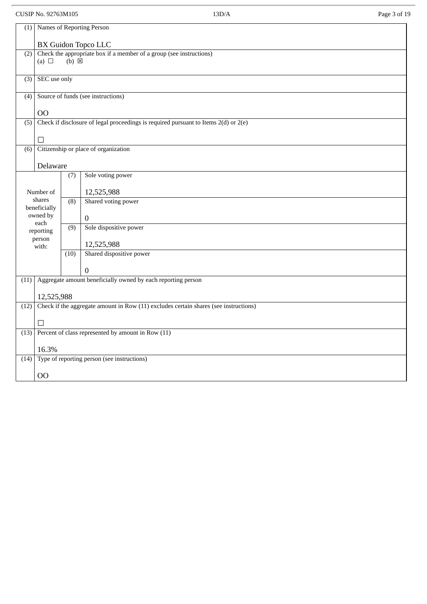# CUSIP No. 92763M105 13D/A Page 3 of 19

| (1)  | Names of Reporting Person                                                            |                  |                                                                                         |  |  |
|------|--------------------------------------------------------------------------------------|------------------|-----------------------------------------------------------------------------------------|--|--|
|      | <b>BX Guidon Topco LLC</b>                                                           |                  |                                                                                         |  |  |
| (2)  | (a) $\Box$                                                                           | $(b) \boxtimes$  | Check the appropriate box if a member of a group (see instructions)                     |  |  |
| (3)  | SEC use only                                                                         |                  |                                                                                         |  |  |
| (4)  |                                                                                      |                  | Source of funds (see instructions)                                                      |  |  |
|      | O <sub>O</sub>                                                                       |                  |                                                                                         |  |  |
| (5)  |                                                                                      |                  | Check if disclosure of legal proceedings is required pursuant to Items $2(d)$ or $2(e)$ |  |  |
|      | □                                                                                    |                  |                                                                                         |  |  |
| (6)  |                                                                                      |                  | Citizenship or place of organization                                                    |  |  |
|      | Delaware                                                                             |                  |                                                                                         |  |  |
|      |                                                                                      | (7)              | Sole voting power                                                                       |  |  |
|      | Number of                                                                            |                  | 12,525,988                                                                              |  |  |
|      | shares<br>beneficially                                                               | (8)              | Shared voting power                                                                     |  |  |
|      | owned by<br>each                                                                     |                  | $\boldsymbol{0}$                                                                        |  |  |
|      | reporting                                                                            | $\overline{(9)}$ | Sole dispositive power                                                                  |  |  |
|      | person<br>with:                                                                      |                  | 12,525,988                                                                              |  |  |
|      |                                                                                      | (10)             | Shared dispositive power                                                                |  |  |
|      |                                                                                      |                  | $\Omega$                                                                                |  |  |
| (11) |                                                                                      |                  | Aggregate amount beneficially owned by each reporting person                            |  |  |
|      | 12,525,988                                                                           |                  |                                                                                         |  |  |
| (12) | Check if the aggregate amount in Row (11) excludes certain shares (see instructions) |                  |                                                                                         |  |  |
|      | □                                                                                    |                  |                                                                                         |  |  |
| (13) |                                                                                      |                  | Percent of class represented by amount in Row (11)                                      |  |  |
|      | 16.3%                                                                                |                  |                                                                                         |  |  |
| (14) |                                                                                      |                  | Type of reporting person (see instructions)                                             |  |  |
|      | O <sub>O</sub>                                                                       |                  |                                                                                         |  |  |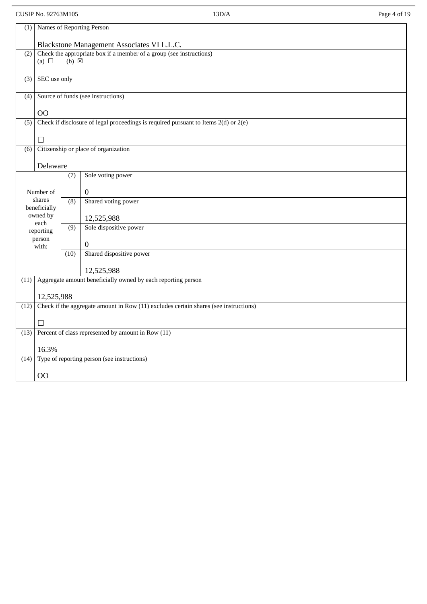# CUSIP No. 92763M105 13D/A Page 4 of 19

|      | (1) Names of Reporting Person                                                        |                  |                                                                                         |  |  |
|------|--------------------------------------------------------------------------------------|------------------|-----------------------------------------------------------------------------------------|--|--|
|      |                                                                                      |                  | Blackstone Management Associates VI L.L.C.                                              |  |  |
| (2)  | (a) $\Box$                                                                           | $(b) \boxtimes$  | Check the appropriate box if a member of a group (see instructions)                     |  |  |
|      |                                                                                      |                  |                                                                                         |  |  |
| (3)  | SEC use only                                                                         |                  |                                                                                         |  |  |
| (4)  |                                                                                      |                  | Source of funds (see instructions)                                                      |  |  |
|      | 00                                                                                   |                  |                                                                                         |  |  |
| (5)  |                                                                                      |                  | Check if disclosure of legal proceedings is required pursuant to Items $2(d)$ or $2(e)$ |  |  |
|      | $\perp$                                                                              |                  |                                                                                         |  |  |
| (6)  |                                                                                      |                  | Citizenship or place of organization                                                    |  |  |
|      | Delaware                                                                             |                  |                                                                                         |  |  |
|      |                                                                                      | (7)              | Sole voting power                                                                       |  |  |
|      | Number of                                                                            |                  | $\boldsymbol{0}$                                                                        |  |  |
|      | shares<br>beneficially                                                               | (8)              | Shared voting power                                                                     |  |  |
|      | owned by                                                                             |                  | 12,525,988                                                                              |  |  |
|      | each<br>reporting                                                                    | $\overline{(9)}$ | Sole dispositive power                                                                  |  |  |
|      | person<br>with:                                                                      |                  | 0                                                                                       |  |  |
|      |                                                                                      | (10)             | Shared dispositive power                                                                |  |  |
|      |                                                                                      |                  | 12,525,988                                                                              |  |  |
| (11) |                                                                                      |                  | Aggregate amount beneficially owned by each reporting person                            |  |  |
|      | 12,525,988                                                                           |                  |                                                                                         |  |  |
| (12) | Check if the aggregate amount in Row (11) excludes certain shares (see instructions) |                  |                                                                                         |  |  |
|      | $\vert \ \ \vert$                                                                    |                  |                                                                                         |  |  |
|      |                                                                                      |                  | $(13)$ Percent of class represented by amount in Row $(11)$                             |  |  |
|      | 16.3%                                                                                |                  |                                                                                         |  |  |
| (14) |                                                                                      |                  | Type of reporting person (see instructions)                                             |  |  |
|      | O <sub>O</sub>                                                                       |                  |                                                                                         |  |  |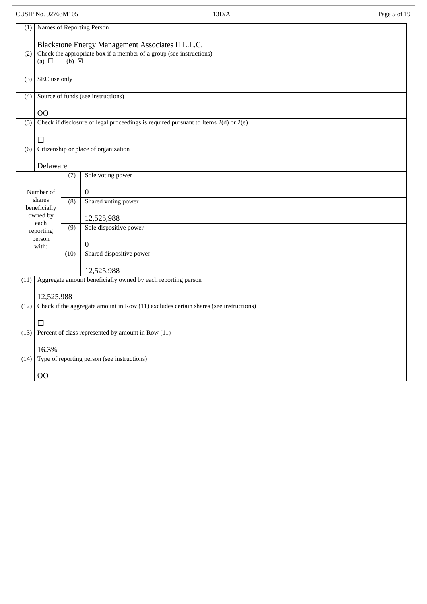# CUSIP No. 92763M105 13D/A Page 5 of 19

| (1)              | Names of Reporting Person                                                            |                 |                                                                                         |  |
|------------------|--------------------------------------------------------------------------------------|-----------------|-----------------------------------------------------------------------------------------|--|
|                  |                                                                                      |                 | Blackstone Energy Management Associates II L.L.C.                                       |  |
| (2)              |                                                                                      | $(b) \boxtimes$ | Check the appropriate box if a member of a group (see instructions)                     |  |
|                  | (a) $\Box$                                                                           |                 |                                                                                         |  |
| (3)              | SEC use only                                                                         |                 |                                                                                         |  |
| (4)              |                                                                                      |                 | Source of funds (see instructions)                                                      |  |
|                  |                                                                                      |                 |                                                                                         |  |
| $\overline{(5)}$ | 00                                                                                   |                 | Check if disclosure of legal proceedings is required pursuant to Items $2(d)$ or $2(e)$ |  |
|                  |                                                                                      |                 |                                                                                         |  |
|                  | П                                                                                    |                 |                                                                                         |  |
| (6)              |                                                                                      |                 | Citizenship or place of organization                                                    |  |
|                  | Delaware                                                                             |                 |                                                                                         |  |
|                  |                                                                                      | (7)             | Sole voting power                                                                       |  |
|                  | Number of                                                                            |                 | $\boldsymbol{0}$                                                                        |  |
|                  | shares<br>beneficially                                                               | (8)             | Shared voting power                                                                     |  |
|                  | owned by                                                                             |                 | 12,525,988                                                                              |  |
|                  | each<br>reporting                                                                    | (9)             | Sole dispositive power                                                                  |  |
|                  | person<br>with:                                                                      |                 | $\Omega$                                                                                |  |
|                  |                                                                                      | (10)            | Shared dispositive power                                                                |  |
|                  |                                                                                      |                 | 12,525,988                                                                              |  |
| (11)             |                                                                                      |                 | Aggregate amount beneficially owned by each reporting person                            |  |
|                  | 12,525,988                                                                           |                 |                                                                                         |  |
| (12)             | Check if the aggregate amount in Row (11) excludes certain shares (see instructions) |                 |                                                                                         |  |
|                  | ⊔                                                                                    |                 |                                                                                         |  |
|                  | $(13)$ Percent of class represented by amount in Row $(11)$                          |                 |                                                                                         |  |
|                  | 16.3%                                                                                |                 |                                                                                         |  |
| (14)             |                                                                                      |                 | Type of reporting person (see instructions)                                             |  |
|                  |                                                                                      |                 |                                                                                         |  |
|                  | <sub>OO</sub>                                                                        |                 |                                                                                         |  |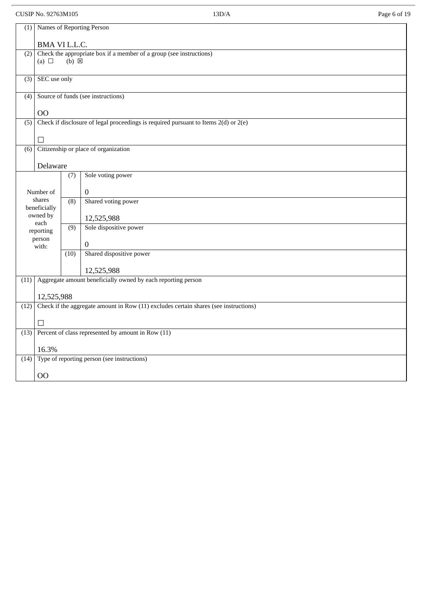# CUSIP No. 92763M105 13D/A Page 6 of 19

| (1)              | Names of Reporting Person                                                            |                  |                                                                                         |  |  |
|------------------|--------------------------------------------------------------------------------------|------------------|-----------------------------------------------------------------------------------------|--|--|
|                  | BMA VI L.L.C.                                                                        |                  |                                                                                         |  |  |
| (2)              | (a) $\Box$                                                                           | (b) <b>区</b>     | Check the appropriate box if a member of a group (see instructions)                     |  |  |
|                  |                                                                                      |                  |                                                                                         |  |  |
| (3)              | SEC use only                                                                         |                  |                                                                                         |  |  |
| (4)              |                                                                                      |                  | Source of funds (see instructions)                                                      |  |  |
|                  | <b>OO</b>                                                                            |                  |                                                                                         |  |  |
| $\overline{(5)}$ |                                                                                      |                  | Check if disclosure of legal proceedings is required pursuant to Items $2(d)$ or $2(e)$ |  |  |
|                  | П                                                                                    |                  |                                                                                         |  |  |
| (6)              |                                                                                      |                  | Citizenship or place of organization                                                    |  |  |
|                  | Delaware                                                                             |                  |                                                                                         |  |  |
|                  |                                                                                      | (7)              | Sole voting power                                                                       |  |  |
|                  | Number of                                                                            |                  | $\boldsymbol{0}$                                                                        |  |  |
|                  | shares<br>beneficially                                                               | (8)              | Shared voting power                                                                     |  |  |
|                  | owned by<br>each                                                                     |                  | 12,525,988                                                                              |  |  |
|                  | reporting                                                                            | $\overline{(9)}$ | Sole dispositive power                                                                  |  |  |
|                  | person<br>with:                                                                      |                  | $\boldsymbol{0}$                                                                        |  |  |
|                  |                                                                                      | (10)             | Shared dispositive power                                                                |  |  |
|                  |                                                                                      |                  | 12,525,988                                                                              |  |  |
| (11)             |                                                                                      |                  | Aggregate amount beneficially owned by each reporting person                            |  |  |
|                  | 12,525,988                                                                           |                  |                                                                                         |  |  |
| (12)             | Check if the aggregate amount in Row (11) excludes certain shares (see instructions) |                  |                                                                                         |  |  |
|                  | $\Box$                                                                               |                  |                                                                                         |  |  |
|                  |                                                                                      |                  | $(13)$ Percent of class represented by amount in Row $(11)$                             |  |  |
|                  | 16.3%                                                                                |                  | Type of reporting person (see instructions)                                             |  |  |
| (14)             |                                                                                      |                  |                                                                                         |  |  |
|                  | O <sub>O</sub>                                                                       |                  |                                                                                         |  |  |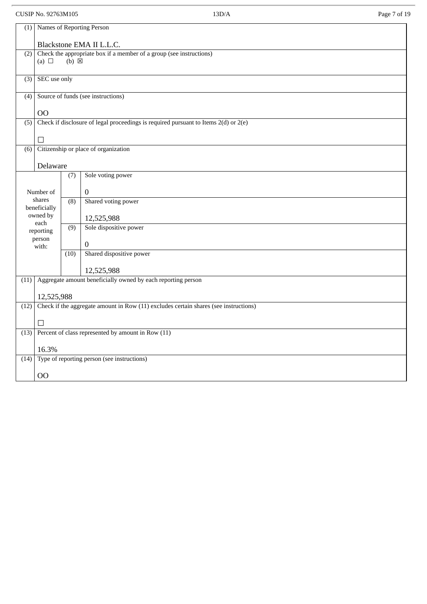# CUSIP No. 92763M105 13D/A Page 7 of 19

| (1)              | Names of Reporting Person                                                                    |                  |                                                                                         |  |  |
|------------------|----------------------------------------------------------------------------------------------|------------------|-----------------------------------------------------------------------------------------|--|--|
|                  | Blackstone EMA II L.L.C.                                                                     |                  |                                                                                         |  |  |
| (2)              | (a) $\Box$                                                                                   | $(b) \boxtimes$  | Check the appropriate box if a member of a group (see instructions)                     |  |  |
| (3)              | SEC use only                                                                                 |                  |                                                                                         |  |  |
| (4)              |                                                                                              |                  | Source of funds (see instructions)                                                      |  |  |
|                  | O <sub>O</sub>                                                                               |                  |                                                                                         |  |  |
| $\overline{(5)}$ |                                                                                              |                  | Check if disclosure of legal proceedings is required pursuant to Items $2(d)$ or $2(e)$ |  |  |
|                  | □                                                                                            |                  |                                                                                         |  |  |
| (6)              |                                                                                              |                  | Citizenship or place of organization                                                    |  |  |
|                  | Delaware                                                                                     |                  |                                                                                         |  |  |
|                  |                                                                                              | (7)              | Sole voting power                                                                       |  |  |
|                  | Number of                                                                                    |                  | 0                                                                                       |  |  |
|                  | shares                                                                                       | (8)              | Shared voting power                                                                     |  |  |
|                  | beneficially<br>owned by                                                                     |                  |                                                                                         |  |  |
|                  | each                                                                                         | $\overline{(9)}$ | 12,525,988<br>Sole dispositive power                                                    |  |  |
|                  | reporting<br>person                                                                          |                  |                                                                                         |  |  |
|                  | with:                                                                                        |                  | 0<br>Shared dispositive power                                                           |  |  |
|                  |                                                                                              | (10)             |                                                                                         |  |  |
|                  |                                                                                              |                  | 12,525,988                                                                              |  |  |
| (11)             |                                                                                              |                  | Aggregate amount beneficially owned by each reporting person                            |  |  |
|                  | 12,525,988                                                                                   |                  |                                                                                         |  |  |
|                  | Check if the aggregate amount in Row (11) excludes certain shares (see instructions)<br>(12) |                  |                                                                                         |  |  |
|                  | $\Box$                                                                                       |                  |                                                                                         |  |  |
| (13)             |                                                                                              |                  | Percent of class represented by amount in Row (11)                                      |  |  |
|                  | 16.3%                                                                                        |                  |                                                                                         |  |  |
| (14)             |                                                                                              |                  | Type of reporting person (see instructions)                                             |  |  |
|                  | O <sub>O</sub>                                                                               |                  |                                                                                         |  |  |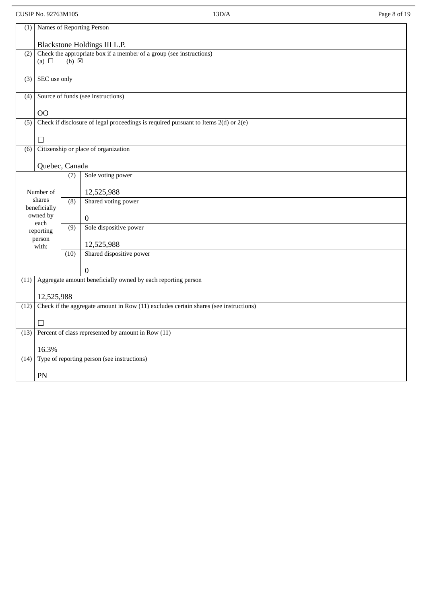# CUSIP No. 92763M105 13D/A Page 8 of 19 (1) Names of Reporting Person Blackstone Holdings III L.P. (2) Check the appropriate box if a member of a group (see instructions)<br>(a)  $\Box$  (b)  $\boxtimes$  $(b) \times$ (3) SEC use only (4) Source of funds (see instructions) OO (5) Check if disclosure of legal proceedings is required pursuant to Items  $2(d)$  or  $2(e)$ ☐ (6) Citizenship or place of organization Quebec, Canada Number of shares beneficially owned by each reporting person with: (7) 12,525,988 Sole voting power (8) Shared voting power 0 (9) Sole dispositive power 12,525,988 (10) Shared dispositive power 0 (11) Aggregate amount beneficially owned by each reporting person 12,525,988 (12) Check if the aggregate amount in Row (11) excludes certain shares (see instructions) ☐ (13) Percent of class represented by amount in Row (11) 16.3% (14) Type of reporting person (see instructions) PN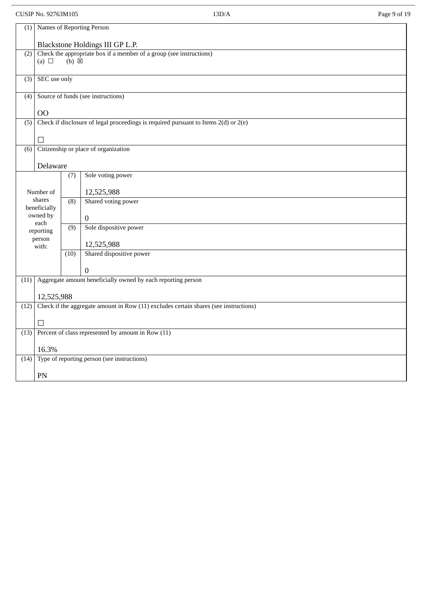### CUSIP No. 92763M105 13D/A Page 9 of 19 (1) Names of Reporting Person Blackstone Holdings III GP L.P. (2) Check the appropriate box if a member of a group (see instructions)<br>(a)  $\Box$  (b)  $\boxtimes$  $(b) \boxtimes$ (3) SEC use only (4) Source of funds (see instructions) OO (5) Check if disclosure of legal proceedings is required pursuant to Items  $2(d)$  or  $2(e)$ ☐ (6) Citizenship or place of organization Delaware Number of shares beneficially owned by each reporting person (7) 12,525,988 Sole voting power (8) 0 Shared voting power (9) Sole dispositive power

| person<br>with: |                                                    |      | 12,525,988                                                                           |
|-----------------|----------------------------------------------------|------|--------------------------------------------------------------------------------------|
|                 |                                                    | (10) | Shared dispositive power                                                             |
|                 |                                                    |      | 0                                                                                    |
| (11)            |                                                    |      | Aggregate amount beneficially owned by each reporting person                         |
|                 |                                                    |      |                                                                                      |
|                 | 12,525,988                                         |      |                                                                                      |
| (12)            |                                                    |      | Check if the aggregate amount in Row (11) excludes certain shares (see instructions) |
|                 |                                                    |      |                                                                                      |
|                 | П                                                  |      |                                                                                      |
| (13)            | Percent of class represented by amount in Row (11) |      |                                                                                      |
|                 |                                                    |      |                                                                                      |
|                 | 16.3%                                              |      |                                                                                      |
| (14)            | Type of reporting person (see instructions)        |      |                                                                                      |
|                 |                                                    |      |                                                                                      |
|                 | PN                                                 |      |                                                                                      |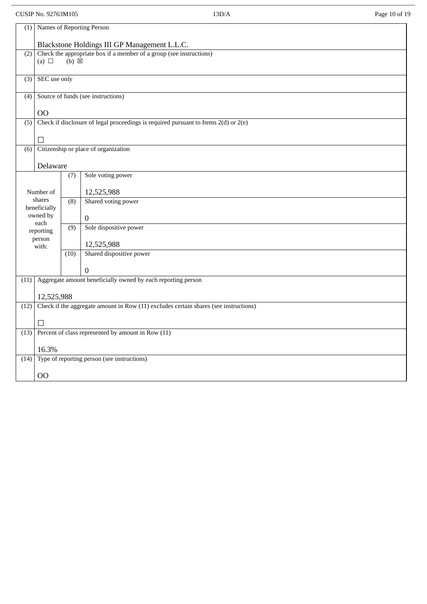# CUSIP No. 92763M105 13D/A Page 10 of 19

|                  | (1) Names of Reporting Person                                                        |                 |                                                                                         |  |  |  |
|------------------|--------------------------------------------------------------------------------------|-----------------|-----------------------------------------------------------------------------------------|--|--|--|
|                  | Blackstone Holdings III GP Management L.L.C.                                         |                 |                                                                                         |  |  |  |
| (2)              | (a) $\Box$                                                                           | $(b) \boxtimes$ | Check the appropriate box if a member of a group (see instructions)                     |  |  |  |
|                  |                                                                                      |                 |                                                                                         |  |  |  |
| (3)              | SEC use only                                                                         |                 |                                                                                         |  |  |  |
| (4)              |                                                                                      |                 | Source of funds (see instructions)                                                      |  |  |  |
|                  |                                                                                      |                 |                                                                                         |  |  |  |
| $\overline{(5)}$ | O <sub>O</sub>                                                                       |                 | Check if disclosure of legal proceedings is required pursuant to Items $2(d)$ or $2(e)$ |  |  |  |
|                  |                                                                                      |                 |                                                                                         |  |  |  |
|                  | $\Box$                                                                               |                 |                                                                                         |  |  |  |
| (6)              |                                                                                      |                 | Citizenship or place of organization                                                    |  |  |  |
|                  | Delaware                                                                             |                 |                                                                                         |  |  |  |
|                  |                                                                                      | (7)             | Sole voting power                                                                       |  |  |  |
|                  | Number of                                                                            |                 | 12,525,988                                                                              |  |  |  |
|                  | shares                                                                               | (8)             | Shared voting power                                                                     |  |  |  |
|                  | beneficially<br>owned by                                                             |                 | $\boldsymbol{0}$                                                                        |  |  |  |
|                  | each<br>reporting                                                                    | (9)             | Sole dispositive power                                                                  |  |  |  |
|                  | person                                                                               |                 |                                                                                         |  |  |  |
|                  | with:                                                                                | (10)            | 12,525,988<br>Shared dispositive power                                                  |  |  |  |
|                  |                                                                                      |                 |                                                                                         |  |  |  |
|                  |                                                                                      |                 | 0                                                                                       |  |  |  |
| (11)             |                                                                                      |                 | Aggregate amount beneficially owned by each reporting person                            |  |  |  |
|                  | 12,525,988                                                                           |                 |                                                                                         |  |  |  |
| (12)             | Check if the aggregate amount in Row (11) excludes certain shares (see instructions) |                 |                                                                                         |  |  |  |
|                  | ⊔                                                                                    |                 |                                                                                         |  |  |  |
|                  |                                                                                      |                 | $(13)$ Percent of class represented by amount in Row $(11)$                             |  |  |  |
|                  | 16.3%                                                                                |                 |                                                                                         |  |  |  |
| (14)             |                                                                                      |                 | Type of reporting person (see instructions)                                             |  |  |  |
|                  | <b>OO</b>                                                                            |                 |                                                                                         |  |  |  |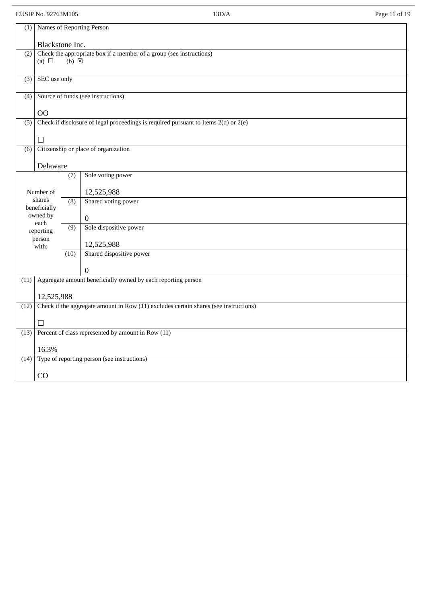# CUSIP No. 92763M105 13D/A Page 11 of 19

| (1)              | Names of Reporting Person                                                                                    |                  |                                                                                      |  |  |
|------------------|--------------------------------------------------------------------------------------------------------------|------------------|--------------------------------------------------------------------------------------|--|--|
|                  | Blackstone Inc.                                                                                              |                  |                                                                                      |  |  |
|                  | $(2)$ Check the appropriate box if a member of a group (see instructions)<br>$(b)$ $\boxtimes$<br>(a) $\Box$ |                  |                                                                                      |  |  |
| (3)              | SEC use only                                                                                                 |                  |                                                                                      |  |  |
| (4)              |                                                                                                              |                  | Source of funds (see instructions)                                                   |  |  |
|                  | O <sub>O</sub>                                                                                               |                  |                                                                                      |  |  |
| (5)              |                                                                                                              |                  | Check if disclosure of legal proceedings is required pursuant to Items 2(d) or 2(e)  |  |  |
|                  | $\Box$                                                                                                       |                  |                                                                                      |  |  |
| $\overline{(6)}$ |                                                                                                              |                  | Citizenship or place of organization                                                 |  |  |
|                  | Delaware                                                                                                     |                  |                                                                                      |  |  |
|                  |                                                                                                              | (7)              | Sole voting power                                                                    |  |  |
|                  | Number of                                                                                                    |                  | 12,525,988                                                                           |  |  |
|                  | shares                                                                                                       | (8)              | Shared voting power                                                                  |  |  |
|                  | beneficially<br>owned by                                                                                     |                  | $\boldsymbol{0}$                                                                     |  |  |
|                  | each<br>reporting                                                                                            | $\overline{(9)}$ | Sole dispositive power                                                               |  |  |
|                  | person<br>with:                                                                                              |                  | 12,525,988                                                                           |  |  |
|                  |                                                                                                              | (10)             | Shared dispositive power                                                             |  |  |
|                  |                                                                                                              |                  | $\Omega$                                                                             |  |  |
| (11)             |                                                                                                              |                  | Aggregate amount beneficially owned by each reporting person                         |  |  |
|                  | 12,525,988                                                                                                   |                  |                                                                                      |  |  |
| (12)             |                                                                                                              |                  | Check if the aggregate amount in Row (11) excludes certain shares (see instructions) |  |  |
|                  | П                                                                                                            |                  |                                                                                      |  |  |
| (13)             |                                                                                                              |                  | Percent of class represented by amount in Row (11)                                   |  |  |
|                  | 16.3%                                                                                                        |                  |                                                                                      |  |  |
| (14)             |                                                                                                              |                  | Type of reporting person (see instructions)                                          |  |  |
|                  | CO                                                                                                           |                  |                                                                                      |  |  |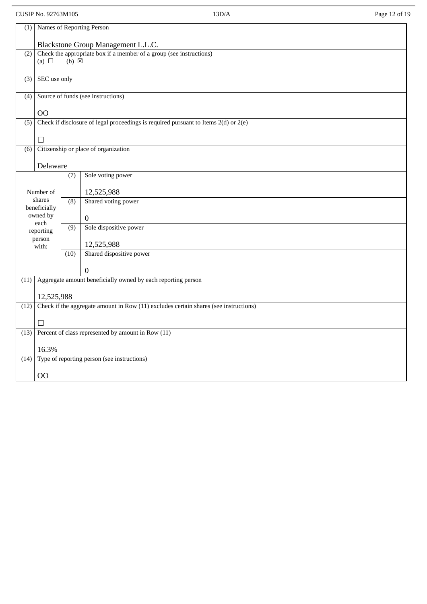|                  | CUSIP No. 92763M105    |                 | 13D/A                                                                                   | Page 12 of 19 |
|------------------|------------------------|-----------------|-----------------------------------------------------------------------------------------|---------------|
| (1)              |                        |                 | Names of Reporting Person                                                               |               |
|                  |                        |                 | Blackstone Group Management L.L.C.                                                      |               |
| (2)              |                        |                 | Check the appropriate box if a member of a group (see instructions)                     |               |
|                  | (a) $\Box$             | $(b) \boxtimes$ |                                                                                         |               |
| (3)              | SEC use only           |                 |                                                                                         |               |
| (4)              |                        |                 | Source of funds (see instructions)                                                      |               |
|                  | O <sub>O</sub>         |                 |                                                                                         |               |
| $\overline{(5)}$ |                        |                 | Check if disclosure of legal proceedings is required pursuant to Items $2(d)$ or $2(e)$ |               |
|                  |                        |                 |                                                                                         |               |
| (6)              |                        |                 | Citizenship or place of organization                                                    |               |
|                  | Delaware               |                 |                                                                                         |               |
|                  |                        | (7)             | Sole voting power                                                                       |               |
|                  | Number of              |                 | 12,525,988                                                                              |               |
|                  | shares<br>beneficially | (8)             | Shared voting power                                                                     |               |
|                  | owned by<br>each       |                 | $\mathbf{0}$                                                                            |               |
|                  | reporting              | (9)             | Sole dispositive power                                                                  |               |
|                  | person<br>with:        |                 | 12,525,988                                                                              |               |
|                  |                        | (10)            | Shared dispositive power                                                                |               |
|                  |                        |                 | 0                                                                                       |               |
| (11)             |                        |                 | Aggregate amount beneficially owned by each reporting person                            |               |
|                  | 12,525,988             |                 |                                                                                         |               |
| (12)             |                        |                 | Check if the aggregate amount in Row (11) excludes certain shares (see instructions)    |               |
|                  | $\perp$                |                 |                                                                                         |               |
| (13)             |                        |                 | Percent of class represented by amount in Row (11)                                      |               |
|                  | 16.3%                  |                 |                                                                                         |               |
| (14)             |                        |                 | Type of reporting person (see instructions)                                             |               |
|                  | O <sub>O</sub>         |                 |                                                                                         |               |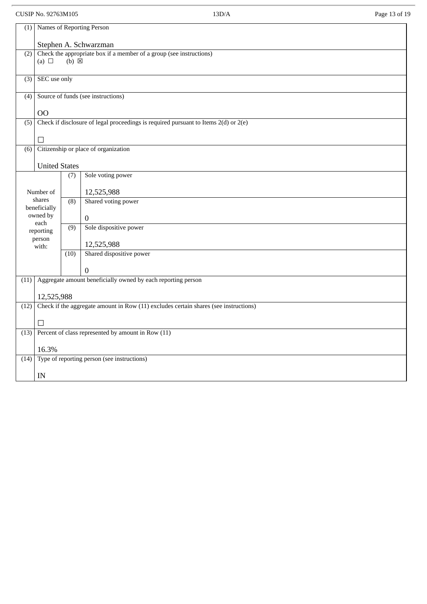# CUSIP No. 92763M105 13D/A Page 13 of 19

| (1)              | Names of Reporting Person                                                                              |                  |                                                                                     |  |  |
|------------------|--------------------------------------------------------------------------------------------------------|------------------|-------------------------------------------------------------------------------------|--|--|
|                  | Stephen A. Schwarzman                                                                                  |                  |                                                                                     |  |  |
| (2)              | Check the appropriate box if a member of a group (see instructions)<br>(a) $\Box$<br>$(b)$ $\boxtimes$ |                  |                                                                                     |  |  |
| (3)              | SEC use only                                                                                           |                  |                                                                                     |  |  |
| (4)              |                                                                                                        |                  | Source of funds (see instructions)                                                  |  |  |
|                  | 00                                                                                                     |                  |                                                                                     |  |  |
| $\overline{(5)}$ |                                                                                                        |                  | Check if disclosure of legal proceedings is required pursuant to Items 2(d) or 2(e) |  |  |
|                  | П                                                                                                      |                  |                                                                                     |  |  |
| (6)              |                                                                                                        |                  | Citizenship or place of organization                                                |  |  |
|                  | <b>United States</b>                                                                                   |                  |                                                                                     |  |  |
|                  |                                                                                                        | (7)              | Sole voting power                                                                   |  |  |
|                  | Number of                                                                                              |                  | 12,525,988                                                                          |  |  |
|                  | shares                                                                                                 | (8)              | Shared voting power                                                                 |  |  |
|                  | beneficially<br>owned by                                                                               |                  | $\boldsymbol{0}$                                                                    |  |  |
|                  | each<br>reporting                                                                                      | $\overline{(9)}$ | Sole dispositive power                                                              |  |  |
|                  | person                                                                                                 |                  |                                                                                     |  |  |
|                  | with:                                                                                                  | (10)             | 12,525,988<br>Shared dispositive power                                              |  |  |
|                  |                                                                                                        |                  |                                                                                     |  |  |
|                  |                                                                                                        |                  | $\Omega$                                                                            |  |  |
| (11)             |                                                                                                        |                  | Aggregate amount beneficially owned by each reporting person                        |  |  |
|                  | 12,525,988                                                                                             |                  |                                                                                     |  |  |
| (12)             | Check if the aggregate amount in Row (11) excludes certain shares (see instructions)                   |                  |                                                                                     |  |  |
|                  | □                                                                                                      |                  |                                                                                     |  |  |
| (13)             |                                                                                                        |                  | Percent of class represented by amount in Row (11)                                  |  |  |
|                  | 16.3%                                                                                                  |                  |                                                                                     |  |  |
| (14)             |                                                                                                        |                  | Type of reporting person (see instructions)                                         |  |  |
|                  | IN                                                                                                     |                  |                                                                                     |  |  |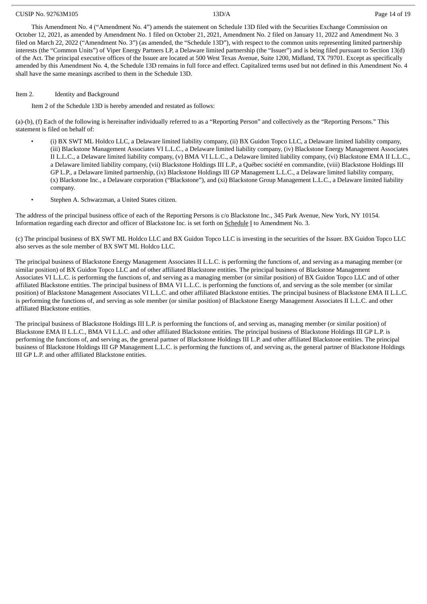#### CUSIP No. 92763M105 13D/A Page 14 of 19

This Amendment No. 4 ("Amendment No. 4") amends the statement on Schedule 13D filed with the Securities Exchange Commission on October 12, 2021, as amended by Amendment No. 1 filed on October 21, 2021, Amendment No. 2 filed on January 11, 2022 and Amendment No. 3 filed on March 22, 2022 ("Amendment No. 3") (as amended, the "Schedule 13D"), with respect to the common units representing limited partnership interests (the "Common Units") of Viper Energy Partners LP, a Delaware limited partnership (the "Issuer") and is being filed pursuant to Section 13(d) of the Act. The principal executive offices of the Issuer are located at 500 West Texas Avenue, Suite 1200, Midland, TX 79701. Except as specifically amended by this Amendment No. 4, the Schedule 13D remains in full force and effect. Capitalized terms used but not defined in this Amendment No. 4 shall have the same meanings ascribed to them in the Schedule 13D.

### Item 2. Identity and Background

Item 2 of the Schedule 13D is hereby amended and restated as follows:

(a)-(b), (f) Each of the following is hereinafter individually referred to as a "Reporting Person" and collectively as the "Reporting Persons." This statement is filed on behalf of:

- (i) BX SWT ML Holdco LLC, a Delaware limited liability company, (ii) BX Guidon Topco LLC, a Delaware limited liability company, (iii) Blackstone Management Associates VI L.L.C., a Delaware limited liability company, (iv) Blackstone Energy Management Associates II L.L.C., a Delaware limited liability company, (v) BMA VI L.L.C., a Delaware limited liability company, (vi) Blackstone EMA II L.L.C., a Delaware limited liability company, (vii) Blackstone Holdings III L.P., a Québec société en commandite, (viii) Blackstone Holdings III GP L.P., a Delaware limited partnership, (ix) Blackstone Holdings III GP Management L.L.C., a Delaware limited liability company, (x) Blackstone Inc., a Delaware corporation ("Blackstone"), and (xi) Blackstone Group Management L.L.C., a Delaware limited liability company.
- Stephen A. Schwarzman, a United States citizen.

The address of the principal business office of each of the Reporting Persons is c/o Blackstone Inc., 345 Park Avenue, New York, NY 10154. Information regarding each director and officer of Blackstone Inc. is set forth on Schedule I to Amendment No. 3.

(c) The principal business of BX SWT ML Holdco LLC and BX Guidon Topco LLC is investing in the securities of the Issuer. BX Guidon Topco LLC also serves as the sole member of BX SWT ML Holdco LLC.

The principal business of Blackstone Energy Management Associates II L.L.C. is performing the functions of, and serving as a managing member (or similar position) of BX Guidon Topco LLC and of other affiliated Blackstone entities. The principal business of Blackstone Management Associates VI L.L.C. is performing the functions of, and serving as a managing member (or similar position) of BX Guidon Topco LLC and of other affiliated Blackstone entities. The principal business of BMA VI L.L.C. is performing the functions of, and serving as the sole member (or similar position) of Blackstone Management Associates VI L.L.C. and other affiliated Blackstone entities. The principal business of Blackstone EMA II L.L.C. is performing the functions of, and serving as sole member (or similar position) of Blackstone Energy Management Associates II L.L.C. and other affiliated Blackstone entities.

The principal business of Blackstone Holdings III L.P. is performing the functions of, and serving as, managing member (or similar position) of Blackstone EMA II L.L.C., BMA VI L.L.C. and other affiliated Blackstone entities. The principal business of Blackstone Holdings III GP L.P. is performing the functions of, and serving as, the general partner of Blackstone Holdings III L.P. and other affiliated Blackstone entities. The principal business of Blackstone Holdings III GP Management L.L.C. is performing the functions of, and serving as, the general partner of Blackstone Holdings III GP L.P. and other affiliated Blackstone entities.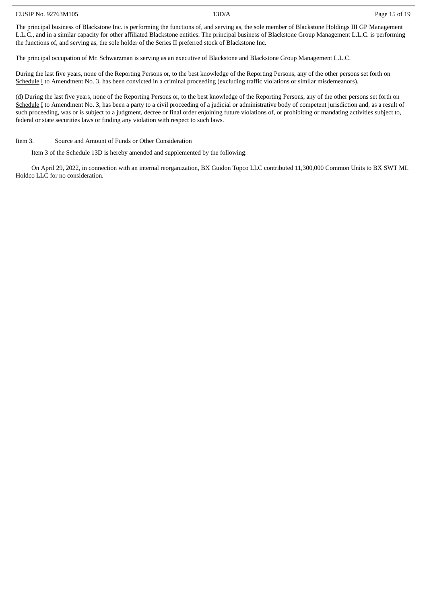#### CUSIP No. 92763M105 13D/A Page 15 of 19

The principal business of Blackstone Inc. is performing the functions of, and serving as, the sole member of Blackstone Holdings III GP Management L.L.C., and in a similar capacity for other affiliated Blackstone entities. The principal business of Blackstone Group Management L.L.C. is performing the functions of, and serving as, the sole holder of the Series II preferred stock of Blackstone Inc.

The principal occupation of Mr. Schwarzman is serving as an executive of Blackstone and Blackstone Group Management L.L.C.

During the last five years, none of the Reporting Persons or, to the best knowledge of the Reporting Persons, any of the other persons set forth on Schedule I to Amendment No. 3, has been convicted in a criminal proceeding (excluding traffic violations or similar misdemeanors).

(d) During the last five years, none of the Reporting Persons or, to the best knowledge of the Reporting Persons, any of the other persons set forth on Schedule I to Amendment No. 3, has been a party to a civil proceeding of a judicial or administrative body of competent jurisdiction and, as a result of such proceeding, was or is subject to a judgment, decree or final order enjoining future violations of, or prohibiting or mandating activities subject to, federal or state securities laws or finding any violation with respect to such laws.

Item 3. Source and Amount of Funds or Other Consideration

Item 3 of the Schedule 13D is hereby amended and supplemented by the following:

On April 29, 2022, in connection with an internal reorganization, BX Guidon Topco LLC contributed 11,300,000 Common Units to BX SWT ML Holdco LLC for no consideration.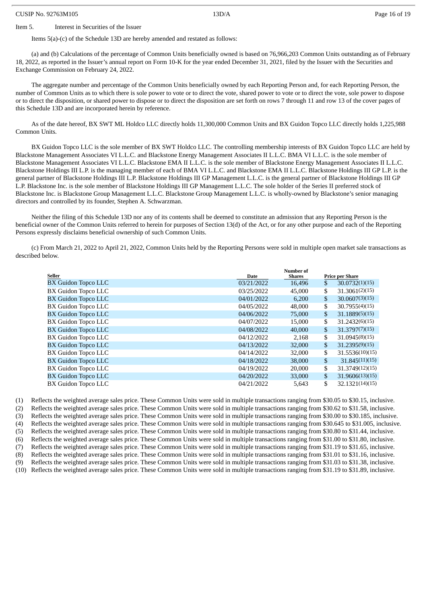#### CUSIP No. 92763M105 13D/A Page 16 of 19

#### Item 5. Interest in Securities of the Issuer

Items 5(a)-(c) of the Schedule 13D are hereby amended and restated as follows:

(a) and (b) Calculations of the percentage of Common Units beneficially owned is based on 76,966,203 Common Units outstanding as of February 18, 2022, as reported in the Issuer's annual report on Form 10-K for the year ended December 31, 2021, filed by the Issuer with the Securities and Exchange Commission on February 24, 2022.

The aggregate number and percentage of the Common Units beneficially owned by each Reporting Person and, for each Reporting Person, the number of Common Units as to which there is sole power to vote or to direct the vote, shared power to vote or to direct the vote, sole power to dispose or to direct the disposition, or shared power to dispose or to direct the disposition are set forth on rows 7 through 11 and row 13 of the cover pages of this Schedule 13D and are incorporated herein by reference.

As of the date hereof, BX SWT ML Holdco LLC directly holds 11,300,000 Common Units and BX Guidon Topco LLC directly holds 1,225,988 Common Units.

BX Guidon Topco LLC is the sole member of BX SWT Holdco LLC. The controlling membership interests of BX Guidon Topco LLC are held by Blackstone Management Associates VI L.L.C. and Blackstone Energy Management Associates II L.L.C. BMA VI L.L.C. is the sole member of Blackstone Management Associates VI L.L.C. Blackstone EMA II L.L.C. is the sole member of Blackstone Energy Management Associates II L.L.C. Blackstone Holdings III L.P. is the managing member of each of BMA VI L.L.C. and Blackstone EMA II L.L.C. Blackstone Holdings III GP L.P. is the general partner of Blackstone Holdings III L.P. Blackstone Holdings III GP Management L.L.C. is the general partner of Blackstone Holdings III GP L.P. Blackstone Inc. is the sole member of Blackstone Holdings III GP Management L.L.C. The sole holder of the Series II preferred stock of Blackstone Inc. is Blackstone Group Management L.L.C. Blackstone Group Management L.L.C. is wholly-owned by Blackstone's senior managing directors and controlled by its founder, Stephen A. Schwarzman.

Neither the filing of this Schedule 13D nor any of its contents shall be deemed to constitute an admission that any Reporting Person is the beneficial owner of the Common Units referred to herein for purposes of Section 13(d) of the Act, or for any other purpose and each of the Reporting Persons expressly disclaims beneficial ownership of such Common Units.

(c) From March 21, 2022 to April 21, 2022, Common Units held by the Reporting Persons were sold in multiple open market sale transactions as described below.

|                            |            | Number of     |                        |                 |
|----------------------------|------------|---------------|------------------------|-----------------|
| <b>Seller</b>              | Date       | <b>Shares</b> | <b>Price per Share</b> |                 |
| <b>BX Guidon Topco LLC</b> | 03/21/2022 | 16.496        | \$                     | 30.0732(1)(15)  |
| <b>BX Guidon Topco LLC</b> | 03/25/2022 | 45,000        | \$                     | 31,3061(2)(15)  |
| <b>BX Guidon Topco LLC</b> | 04/01/2022 | 6.200         | \$                     | 30.0607(3)(15)  |
| <b>BX Guidon Topco LLC</b> | 04/05/2022 | 48,000        | \$                     | 30.7955(4)(15)  |
| <b>BX Guidon Topco LLC</b> | 04/06/2022 | 75,000        | \$                     | 31.1889(5)(15)  |
| BX Guidon Topco LLC        | 04/07/2022 | 15,000        | \$                     | 31.2432(6)(15)  |
| <b>BX Guidon Topco LLC</b> | 04/08/2022 | 40,000        | \$                     | 31.3797(7)(15)  |
| <b>BX Guidon Topco LLC</b> | 04/12/2022 | 2,168         | \$                     | 31.0945(8)(15)  |
| <b>BX Guidon Topco LLC</b> | 04/13/2022 | 32,000        | \$                     | 31.2395(9)(15)  |
| <b>BX Guidon Topco LLC</b> | 04/14/2022 | 32,000        | \$                     | 31.5536(10)(15) |
| <b>BX Guidon Topco LLC</b> | 04/18/2022 | 38,000        | \$                     | 31.845(11)(15)  |
| BX Guidon Topco LLC        | 04/19/2022 | 20,000        | \$                     | 31.3749(12)(15) |
| <b>BX Guidon Topco LLC</b> | 04/20/2022 | 33,000        | \$                     | 31.9606(13)(15) |
| <b>BX Guidon Topco LLC</b> | 04/21/2022 | 5,643         | \$                     | 32.1321(14)(15) |

(1) Reflects the weighted average sales price. These Common Units were sold in multiple transactions ranging from \$30.05 to \$30.15, inclusive. (2) Reflects the weighted average sales price. These Common Units were sold in multiple transactions ranging from \$30.62 to \$31.58, inclusive. (3) Reflects the weighted average sales price. These Common Units were sold in multiple transactions ranging from \$30.00 to \$30.185, inclusive. (4) Reflects the weighted average sales price. These Common Units were sold in multiple transactions ranging from \$30.645 to \$31.005, inclusive. (5) Reflects the weighted average sales price. These Common Units were sold in multiple transactions ranging from \$30.80 to \$31.44, inclusive. (6) Reflects the weighted average sales price. These Common Units were sold in multiple transactions ranging from \$31.00 to \$31.80, inclusive. (7) Reflects the weighted average sales price. These Common Units were sold in multiple transactions ranging from \$31.19 to \$31.65, inclusive. (8) Reflects the weighted average sales price. These Common Units were sold in multiple transactions ranging from \$31.01 to \$31.16, inclusive. (9) Reflects the weighted average sales price. These Common Units were sold in multiple transactions ranging from \$31.03 to \$31.38, inclusive. (10) Reflects the weighted average sales price. These Common Units were sold in multiple transactions ranging from \$31.19 to \$31.89, inclusive.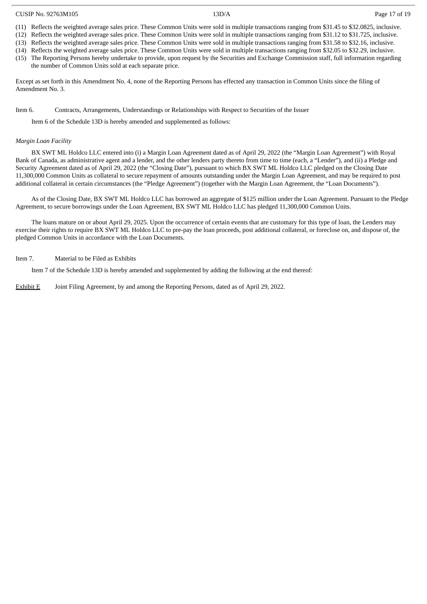#### CUSIP No. 92763M105 13D/A Page 17 of 19

(11) Reflects the weighted average sales price. These Common Units were sold in multiple transactions ranging from \$31.45 to \$32.0825, inclusive.

(12) Reflects the weighted average sales price. These Common Units were sold in multiple transactions ranging from \$31.12 to \$31.725, inclusive. (13) Reflects the weighted average sales price. These Common Units were sold in multiple transactions ranging from \$31.58 to \$32.16, inclusive.

- (14) Reflects the weighted average sales price. These Common Units were sold in multiple transactions ranging from \$32.05 to \$32.29, inclusive.
- (15) The Reporting Persons hereby undertake to provide, upon request by the Securities and Exchange Commission staff, full information regarding the number of Common Units sold at each separate price.

Except as set forth in this Amendment No. 4, none of the Reporting Persons has effected any transaction in Common Units since the filing of Amendment No. 3.

#### Item 6. Contracts, Arrangements, Understandings or Relationships with Respect to Securities of the Issuer

Item 6 of the Schedule 13D is hereby amended and supplemented as follows:

#### *Margin Loan Facility*

BX SWT ML Holdco LLC entered into (i) a Margin Loan Agreement dated as of April 29, 2022 (the "Margin Loan Agreement") with Royal Bank of Canada, as administrative agent and a lender, and the other lenders party thereto from time to time (each, a "Lender"), and (ii) a Pledge and Security Agreement dated as of April 29, 2022 (the "Closing Date"), pursuant to which BX SWT ML Holdco LLC pledged on the Closing Date 11,300,000 Common Units as collateral to secure repayment of amounts outstanding under the Margin Loan Agreement, and may be required to post additional collateral in certain circumstances (the "Pledge Agreement") (together with the Margin Loan Agreement, the "Loan Documents").

As of the Closing Date, BX SWT ML Holdco LLC has borrowed an aggregate of \$125 million under the Loan Agreement. Pursuant to the Pledge Agreement, to secure borrowings under the Loan Agreement, BX SWT ML Holdco LLC has pledged 11,300,000 Common Units.

The loans mature on or about April 29, 2025. Upon the occurrence of certain events that are customary for this type of loan, the Lenders may exercise their rights to require BX SWT ML Holdco LLC to pre-pay the loan proceeds, post additional collateral, or foreclose on, and dispose of, the pledged Common Units in accordance with the Loan Documents.

#### Item 7. Material to be Filed as Exhibits

Item 7 of the Schedule 13D is hereby amended and supplemented by adding the following at the end thereof:

Exhibit E Joint Filing Agreement, by and among the Reporting Persons, dated as of April 29, 2022.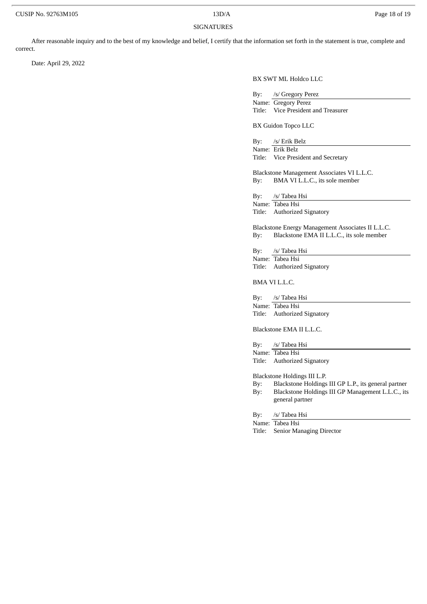#### SIGNATURES

After reasonable inquiry and to the best of my knowledge and belief, I certify that the information set forth in the statement is true, complete and correct.

Date: April 29, 2022

BX SWT ML Holdco LLC

By: /s/ Gregory Perez

Name: Gregory Perez Title: Vice President and Treasurer

BX Guidon Topco LLC

By: /s/ Erik Belz Name: Erik Belz Title: Vice President and Secretary

Blackstone Management Associates VI L.L.C. By: BMA VI L.L.C., its sole member

By: /s/ Tabea Hsi Name: Tabea Hsi Title: Authorized Signatory

Blackstone Energy Management Associates II L.L.C. By: Blackstone EMA II L.L.C., its sole member

By: /s/ Tabea Hsi Name: Tabea Hsi Title: Authorized Signatory

BMA VI L.L.C.

By: /s/ Tabea Hsi Name: Tabea Hsi Title: Authorized Signatory

Blackstone EMA II L.L.C.

By: /s/ Tabea Hsi Name: Tabea Hsi

Title: Authorized Signatory

Blackstone Holdings III L.P.

By: Blackstone Holdings III GP L.P., its general partner By: Blackstone Holdings III GP Management L.L.C., its general partner

By: /s/ Tabea Hsi

Name: Tabea Hsi

Title: Senior Managing Director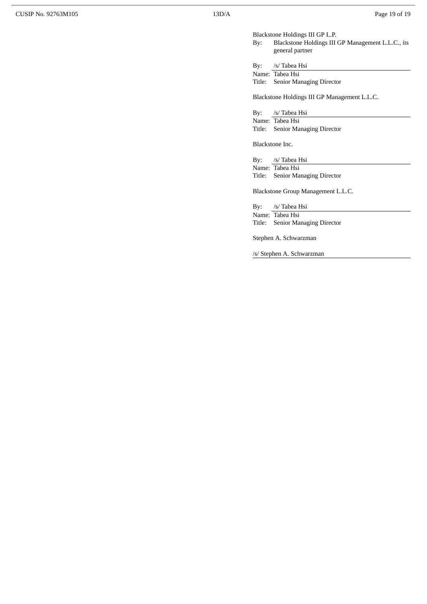Blackstone Holdings III GP L.P.

Blackstone Holdings III GP Management L.L.C., its general partner

By: /s/ Tabea Hsi

Name: Tabea Hsi

Title: Senior Managing Director

Blackstone Holdings III GP Management L.L.C.

By: /s/ Tabea Hsi Name: Tabea Hsi Title: Senior Managing Director

Blackstone Inc.

By: /s/ Tabea Hsi Name: Tabea Hsi Title: Senior Managing Director

Blackstone Group Management L.L.C.

By: /s/ Tabea Hsi Name: Tabea Hsi

Title: Senior Managing Director

Stephen A. Schwarzman

/s/ Stephen A. Schwarzman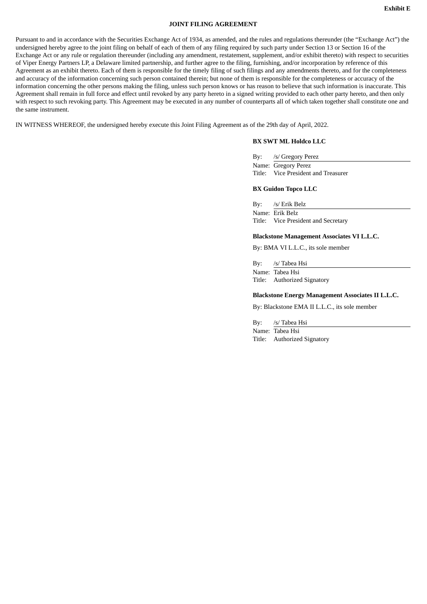#### **JOINT FILING AGREEMENT**

Pursuant to and in accordance with the Securities Exchange Act of 1934, as amended, and the rules and regulations thereunder (the "Exchange Act") the undersigned hereby agree to the joint filing on behalf of each of them of any filing required by such party under Section 13 or Section 16 of the Exchange Act or any rule or regulation thereunder (including any amendment, restatement, supplement, and/or exhibit thereto) with respect to securities of Viper Energy Partners LP, a Delaware limited partnership, and further agree to the filing, furnishing, and/or incorporation by reference of this Agreement as an exhibit thereto. Each of them is responsible for the timely filing of such filings and any amendments thereto, and for the completeness and accuracy of the information concerning such person contained therein; but none of them is responsible for the completeness or accuracy of the information concerning the other persons making the filing, unless such person knows or has reason to believe that such information is inaccurate. This Agreement shall remain in full force and effect until revoked by any party hereto in a signed writing provided to each other party hereto, and then only with respect to such revoking party. This Agreement may be executed in any number of counterparts all of which taken together shall constitute one and the same instrument.

IN WITNESS WHEREOF, the undersigned hereby execute this Joint Filing Agreement as of the 29th day of April, 2022.

#### **BX SWT ML Holdco LLC**

By: /s/ Gregory Perez Name: Gregory Perez Title: Vice President and Treasurer

#### **BX Guidon Topco LLC**

By: /s/ Erik Belz Name: Erik Belz Title: Vice President and Secretary

#### **Blackstone Management Associates VI L.L.C.**

By: BMA VI L.L.C., its sole member

By: /s/ Tabea Hsi Name: Tabea Hsi Title: Authorized Signatory

#### **Blackstone Energy Management Associates II L.L.C.**

By: Blackstone EMA II L.L.C., its sole member

By: /s/ Tabea Hsi Name: Tabea Hsi Title: Authorized Signatory